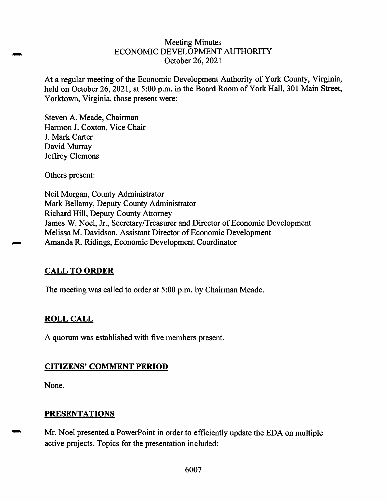#### Meeting Minutes ECONOMIC DEVELOPMENT AUTHORITY October 26, 2021

At a regular meeting of the Economic Development Authority of York County, Virginia, held on October 26, 2021, at 5:00 p.m. in the Board Room of York Hall, 301 Main Street, Yorktown, Virginia, those present were:

Steven A. Meade, Chairman Harmon J. Coxton, Vice Chair J. Mark Carter David Murray Jeffrey Clemons

Others present:

Neil Morgan, County Administrator Mark Bellamy, Deputy County Administrator Richard Hill, Deputy County Attorney James W. Noel, Jr., Secretary/Treasurer and Director of Economic Development Melissa M. Davidson, Assistant Director of Economic Development Amanda R. Ridings, Economic Development Coordinator

## **CALL TO ORDER**

The meeting was called to order at 5:00 p.m. by Chairman Meade.

## **ROLL CALL**

A quorum was established with five members present.

## **CITIZENS' COMMENT PERIOD**

None.

## **PRESENTATIONS**

Mr. Noel presented a PowerPoint in order to efficiently update the EDA on multiple active projects. Topics for the presentation included: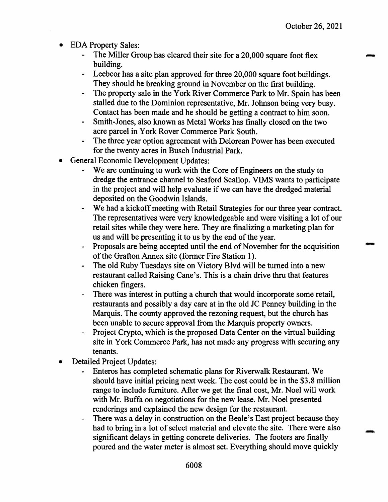- EDA Property Sales:
	- The Miller Group has cleared their site for a 20,000 square foot flex building.
	- Leebcor has a site plan approved for three 20,000 square foot buildings. They should be breaking ground in November on the first building.
	- The property sale in the York River Commerce Park to Mr. Spain has been stalled due to the Dominion representative, Mr. Johnson being very busy. Contact has been made and he should be getting a contract to him soon.
	- Smith-Jones, also known as Metal Works has finally closed on the two acre parcel in York Rover Commerce Park South.
	- The three year option agreement with Delorean Power has been executed for the twenty acres in Busch Industrial Park.
- General Economic Development Updates:
	- We are continuing to work with the Core of Engineers on the study to dredge the entrance channel to Seaford Scallop. VIMS wants to participate in the project and will help evaluate if we can have the dredged material deposited on the Goodwin Islands.
	- We had a kickoff meeting with Retail Strategies for our three year contract. The representatives were very knowledgeable and were visiting a lot of our retail sites while they were here. They are finalizing a marketing plan for us and will be presenting it to us by the end of the year.
	- Proposals are being accepted until the end of November for the acquisition of the Grafton Annex site (former Fire Station 1).
	- The old Ruby Tuesdays site on Victory Blvd will be turned into a new restaurant called Raising Cane's. This is a chain drive thru that features chicken fingers.
	- There was interest in putting a church that would incorporate some retail, restaurants and possibly a day care at in the old JC Penney building in the Marquis. The county approved the rezoning request, but the church has been unable to secure approval from the Marquis property owners.
	- Project Crypto, which is the proposed Data Center on the virtual building site in York Commerce Park, has not made any progress with securing any tenants.
- Detailed Project Updates:
	- Enteros has completed schematic plans for Riverwalk Restaurant. We should have initial pricing next week. The cost could be in the \$3. 8 million range to include furniture. After we get the final cost, Mr. Noel will work with Mr. Buffa on negotiations for the new lease. Mr. Noel presented renderings and explained the new design for the restaurant.
	- There was a delay in construction on the Beale's East project because they had to bring in a lot of select material and elevate the site. There were also significant delays in getting concrete deliveries. The footers are finally poured and the water meter is almost set. Everything should move quickly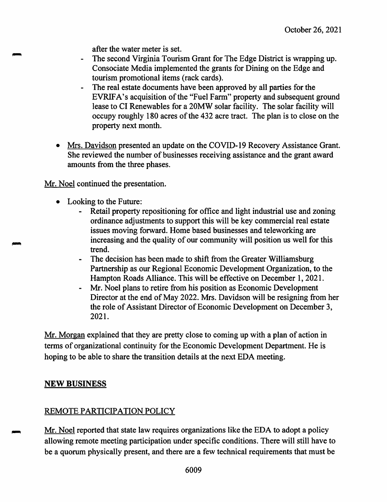after the water meter is set.

- The second Virginia Tourism Grant for The Edge District is wrapping up. Consociate Media implemented the grants for Dining on the Edge and tourism promotional items (rack cards).
- The real estate documents have been approved by all parties for the EVRIFA's acquisition of the "Fuel Farm" property and subsequent ground lease to CI Renewables for a 20MW solar facility. The solar facility will occupy roughly 180 acres of the 432 acre tract. The plan is to close on the property next month.
- Mrs. Davidson presented an update on the COVID-19 Recovery Assistance Grant. She reviewed the number of businesses receiving assistance and the grant award amounts from the three phases.

Mr. Noel continued the presentation.

- Looking to the Future:
	- Retail property repositioning for office and light industrial use and zoning ordinance adjustments to support this will be key commercial real estate issues moving forward. Home based businesses and teleworking are increasing and the quality of our community will position us well for this trend.
	- The decision has been made to shift from the Greater Williamsburg Partnership as our Regional Economic Development Organization, to the Hampton Roads Alliance. This will be effective on December 1, 2021.
	- Mr. Noel plans to retire from his position as Economic Development Director at the end of May 2022. Mrs. Davidson will be resigning from her the role of Assistant Director of Economic Development on December 3, 2021.

Mr. Morgan explained that they are pretty close to coming up with a plan of action in terms of organizational continuity for the Economic Development Department. He is hoping to be able to share the transition details at the next EDA meeting.

# **NEW BUSINESS**

# REMOTE PARTICIPATION POLICY

Mr. Noel reported that state law requires organizations like the EDA to adopt a policy allowing remote meeting participation under specific conditions. There will still have to be a quorum physically present, and there are a few technical requirements that must be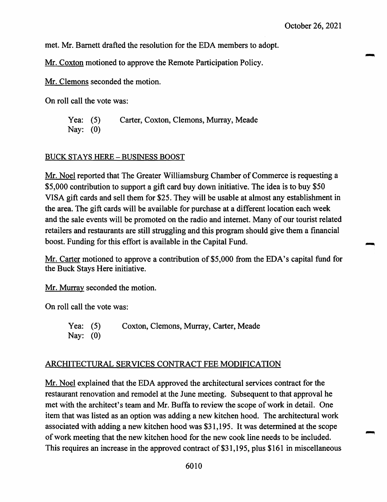met. Mr. Barnett drafted the resolution for the EDA members to adopt.

Mr. Coxton motioned to approve the Remote Participation Policy.

Mr. Clemons seconded the motion.

On roll call the vote was:

Yea: (5) Carter, Coxton, Clemons, Murray, Meade Nay: (0)

#### BUCK STAYS HERE - BUSINESS BOOST

Mr. Noel reported that The Greater Williamsburg Chamber of Commerce is requesting a \$5,000 contribution to support a gift card buy down initiative. The idea is to buy \$50 VISA gift cards and sell them for \$25. They will be usable at almost any establishment in the area. The gift cards will be available for purchase at a different location each week and the sale events will be promoted on the radio and internet. Many of our tourist related retailers and restaurants are still struggling and this program should give them a financial boost. Funding for this effort is available in the Capital Fund.

Mr. Carter motioned to approve a contribution of \$5,000 from the EDA's capital fund for the Buck Stays Here initiative.

Mr. Murray seconded the motion.

On roll call the vote was:

Yea: (5) Coxton, Clemons, Murray, Carter, Meade Nay: (0)

#### ARCHITECTURAL SERVICES CONTRACT FEE MODIFICATION

Mr. Noel explained that the EDA approved the architectural services contract for the restaurant renovation and remodel at the June meeting. Subsequent to that approval he met with the architect's team and Mr. Buffa to review the scope of work in detail. One item that was listed as an option was adding a new kitchen hood. The architectural work associated with adding a new kitchen hood was \$31,195. It was determined at the scope ofwork meeting that the new kitchen hood for the new cook line needs to be included. This requires an increase in the approved contract of \$31,195, plus \$161 in miscellaneous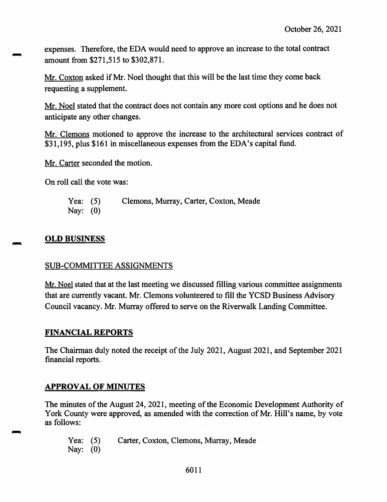expenses. Therefore, the EDA would need to approve an increase to the total contract amount from \$271,515 to \$302,871.

Mr. Coxton asked if Mr. Noel thought that this will be the last time they come back requesting a supplement.

Mr. Noel stated that the contract does not contain any more cost options and he does not anticipate any other changes.

Mr. Clemons motioned to approve the increase to the architectural services contract of \$31,195, plus \$161 in miscellaneous expenses from the EDA's capital fund.

Mr. Carter seconded the motion.

On roll call the vote was:

| Yea: $(5)$ | Clemons, Murray, Carter, Coxton, Meade |
|------------|----------------------------------------|
| Nay: $(0)$ |                                        |

## **OLD BUSINESS**

## SUB-COMMITTEE ASSIGNMENTS

Mr. Noel stated that at the last meeting we discussed filling various committee assignments that are currently vacant. Mr. Clemons volunteered to fill the YCSD Business Advisory Council vacancy. Mr. Murray offered to serve on the Riverwalk Landing Committee.

## **FINANCIAL REPORTS**

The Chairman duly noted the receipt of the July 2021, August 2021, and September 2021 financial reports.

## **APPROVAL OF MINUTES**

The minutes of the August 24, 2021, meeting of the Economic Development Authority of York County were approved, as amended with the correction of Mr. Hill's name, by vote as follows:

Yea: (5) Carter, Coxton, Clemons, Murray, Meade Nay: (0)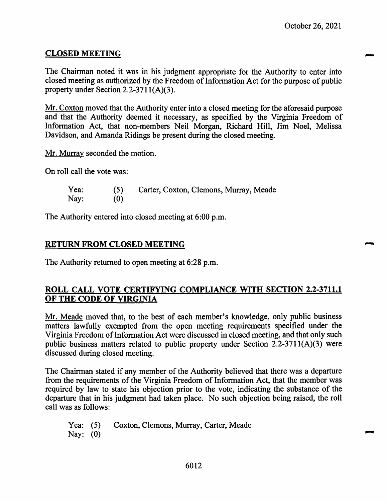## **CLOSED MEETING**

The Chairman noted it was in his judgment appropriate for the Authority to enter into closed meeting as authorized by the Freedom of Information Act for the purpose of public property under Section 2.2-3711(A)(3).

Mr. Coxton moved that the Authority enter into a closed meeting for the aforesaid purpose and that the Authority deemed it necessary, as specified by the Virginia Freedom of Information Act, that non-members Neil Morgan, Richard Hill, Jim Noel, Melissa Davidson, and Amanda Ridings be present during the closed meeting.

Mr. Murray seconded the motion.

On roll call the vote was:

| Yea: | (5) | Carter, Coxton, Clemons, Murray, Meade |
|------|-----|----------------------------------------|
| Nay: | (0) |                                        |

The Authority entered into closed meeting at 6:00 p.m.

## **RETURN FROM CLOSED MEETING**

The Authority returned to open meeting at 6:28 p.m.

## **ROLL CALL VOTE CERTIFYING COMPLIANCE WITH SECTION 2.2-3711.1 OF THE CODE OF VIRGINIA**

Mr. Meade moved that, to the best of each member's knowledge, only public business matters lawfully exempted from the open meeting requirements specified under the Virginia Freedom of Information Act were discussed in closed meeting, and that only such public business matters related to public property under Section 2.2-3711(A)(3) were discussed during closed meeting.

The Chairman stated if any member of the Authority believed that there was a departure from the requirements of the Virginia Freedom of Information Act, that the member was required by law to state his objection prior to the vote, indicating the substance of the departure that in his judgment had taken place. No such objection being raised, the roll call was as follows:

Yea: (5) Coxton, Clemons, Murray, Carter, Meade Nay: (0)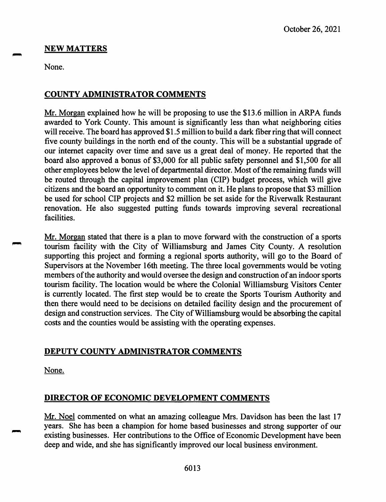## **NEW MATTERS**

None.

## **COUNTY ADMINISTRATOR COMMENTS**

Mr. Morgan explained how he will be proposing to use the \$13.6 million in ARPA funds awarded to York County. This amount is significantly less than what neighboring cities will receive. The board has approved \$1.5 million to build a dark fiber ring that will connect five county buildings in the north end of the county. This will be a substantial upgrade of our internet capacity over time and save us a great deal of money. He reported that the board also approved a bonus of \$3,000 for all public safety personnel and \$1,500 for all other employees below the level of departmental director. Most of the remaining funds will be routed through the capital improvement plan (CIP) budget process, which will give citizens and the board an opportunity to comment on it. He plans to propose that \$3 million be used for school CIP projects and \$2 million be set aside for the Riverwalk Restaurant renovation. He also suggested putting funds towards improving several recreational facilities.

Mr. Morgan stated that there is a plan to move forward with the construction of a sports tourism facility with the City of Williamsburg and James City County. A resolution supporting this project and forming a regional sports authority, will go to the Board of Supervisors at the November 16th meeting. The three local governments would be voting members of the authority and would oversee the design and construction of an indoor sports tourism facility. The location would be where the Colonial Williamsburg Visitors Center is currently located. The first step would be to create the Sports Tourism Authority and then there would need to be decisions on detailed facility design and the procurement of design and construction services. The City of Williamsburg would be absorbing the capital costs and the counties would be assisting with the operating expenses.

## **DEPUTY COUNTY ADMINISTRATOR COMMENTS**

None.

## **DIRECTOR OF ECONOMIC DEVELOPMENT COMMENTS**

Mr. Noel commented on what an amazing colleague Mrs. Davidson has been the last 17 years. She has been a champion for home based businesses and strong supporter of our existing businesses. Her contributions to the Office of Economic Development have been deep and wide, and she has significantly improved our local business environment.